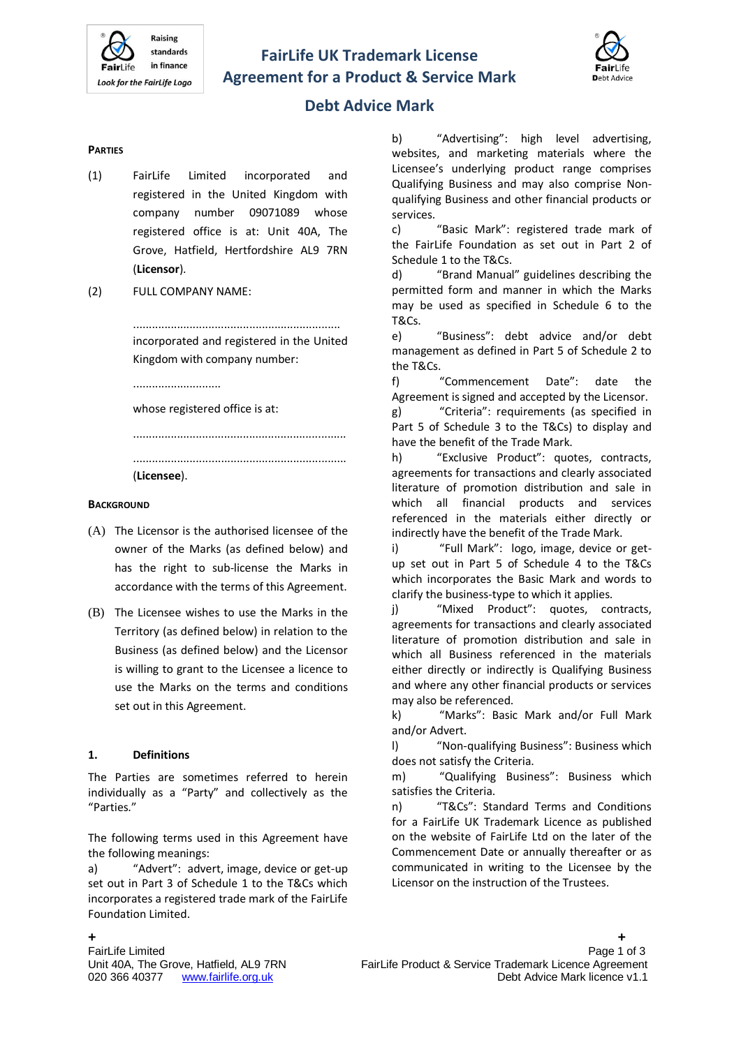# **FairLife UK Trademark License Agreement for a Product & Service Mark**



# **Debt Advice Mark**

#### **PARTIES**

- (1) FairLife Limited incorporated and registered in the United Kingdom with company number 09071089 whose registered office is at: Unit 40A, The Grove, Hatfield, Hertfordshire AL9 7RN (**Licensor**).
- (2) FULL COMPANY NAME:

.................................................................. incorporated and registered in the United Kingdom with company number:

....................................................................

............................

whose registered office is at:

....................................................................

(**Licensee**).

#### **BACKGROUND**

- (A) The Licensor is the authorised licensee of the owner of the Marks (as defined below) and has the right to sub-license the Marks in accordance with the terms of this Agreement.
- (B) The Licensee wishes to use the Marks in the Territory (as defined below) in relation to the Business (as defined below) and the Licensor is willing to grant to the Licensee a licence to use the Marks on the terms and conditions set out in this Agreement.

#### **1. Definitions**

The Parties are sometimes referred to herein individually as a "Party" and collectively as the "Parties."

The following terms used in this Agreement have the following meanings:

a) "Advert": advert, image, device or get-up set out in Part 3 of Schedule 1 to the T&Cs which incorporates a registered trade mark of the FairLife Foundation Limited.

b) "Advertising": high level advertising, websites, and marketing materials where the Licensee's underlying product range comprises Qualifying Business and may also comprise Nonqualifying Business and other financial products or services.

c) "Basic Mark": registered trade mark of the FairLife Foundation as set out in Part 2 of Schedule 1 to the T&Cs.

d) "Brand Manual" guidelines describing the permitted form and manner in which the Marks may be used as specified in Schedule 6 to the T&Cs.

e) "Business": debt advice and/or debt management as defined in Part 5 of Schedule 2 to the T&Cs.

f) "Commencement Date": date the Agreement is signed and accepted by the Licensor.

g) "Criteria": requirements (as specified in Part 5 of Schedule 3 to the T&Cs) to display and have the benefit of the Trade Mark.

h) "Exclusive Product": quotes, contracts, agreements for transactions and clearly associated literature of promotion distribution and sale in which all financial products and services referenced in the materials either directly or indirectly have the benefit of the Trade Mark.

i) "Full Mark": logo, image, device or getup set out in Part 5 of Schedule 4 to the T&Cs which incorporates the Basic Mark and words to clarify the business-type to which it applies.

j) "Mixed Product": quotes, contracts, agreements for transactions and clearly associated literature of promotion distribution and sale in which all Business referenced in the materials either directly or indirectly is Qualifying Business and where any other financial products or services may also be referenced.

k) "Marks": Basic Mark and/or Full Mark and/or Advert.

l) "Non-qualifying Business": Business which does not satisfy the Criteria.

m) "Qualifying Business": Business which satisfies the Criteria.

n) "T&Cs": Standard Terms and Conditions for a FairLife UK Trademark Licence as published on the website of FairLife Ltd on the later of the Commencement Date or annually thereafter or as communicated in writing to the Licensee by the Licensor on the instruction of the Trustees.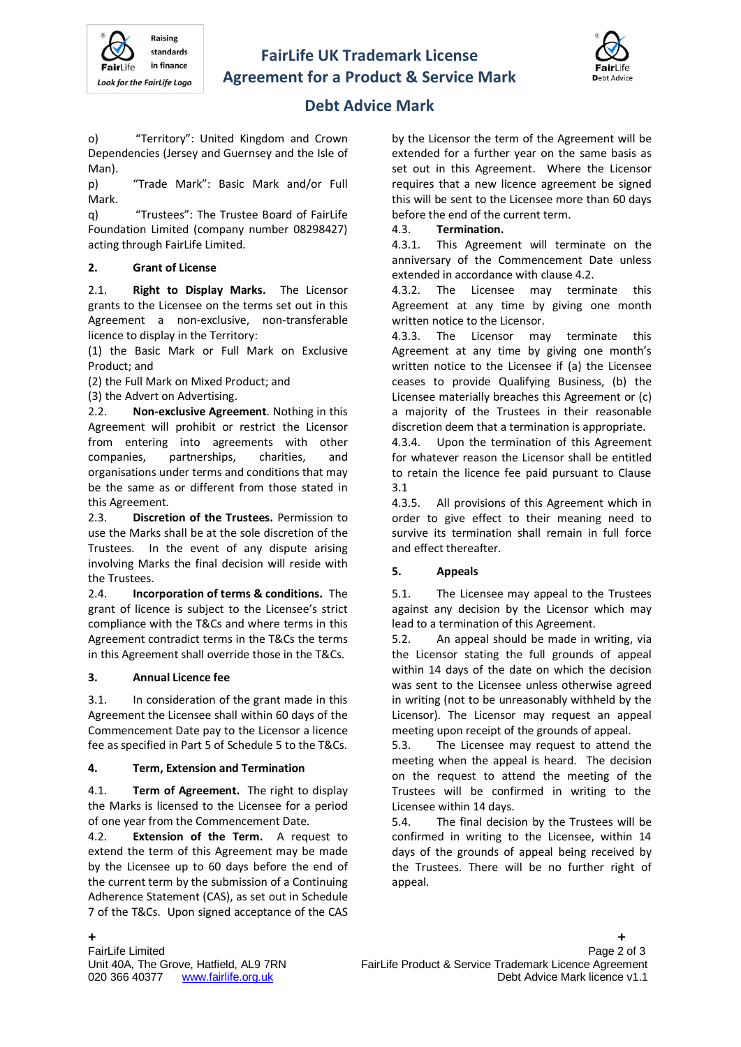



# **Debt Advice Mark**

o) "Territory": United Kingdom and Crown Dependencies [\(Jersey](http://en.wikipedia.org/wiki/Jersey) an[d Guernsey](http://en.wikipedia.org/wiki/Guernsey) and the [Isle of](http://en.wikipedia.org/wiki/Isle_of_Man)  [Man\)](http://en.wikipedia.org/wiki/Isle_of_Man).

p) "Trade Mark": Basic Mark and/or Full Mark.

q) "Trustees": The Trustee Board of FairLife Foundation Limited (company number 08298427) acting through FairLife Limited.

# **2. Grant of License**

2.1. **Right to Display Marks.** The Licensor grants to the Licensee on the terms set out in this Agreement a non-exclusive, non-transferable licence to display in the Territory:

(1) the Basic Mark or Full Mark on Exclusive Product; and

(2) the Full Mark on Mixed Product; and

(3) the Advert on Advertising.

2.2. **Non-exclusive Agreement**. Nothing in this Agreement will prohibit or restrict the Licensor from entering into agreements with other companies, partnerships, charities, and organisations under terms and conditions that may be the same as or different from those stated in this Agreement.

2.3. **Discretion of the Trustees.** Permission to use the Marks shall be at the sole discretion of the Trustees. In the event of any dispute arising involving Marks the final decision will reside with the Trustees.

2.4. **Incorporation of terms & conditions.** The grant of licence is subject to the Licensee's strict compliance with the T&Cs and where terms in this Agreement contradict terms in the T&Cs the terms in this Agreement shall override those in the T&Cs.

# **3. Annual Licence fee**

3.1. In consideration of the grant made in this Agreement the Licensee shall within 60 days of the Commencement Date pay to the Licensor a licence fee as specified in Part 5 of Schedule 5 to the T&Cs.

# **4. Term, Extension and Termination**

4.1. **Term of Agreement.** The right to display the Marks is licensed to the Licensee for a period of one year from the Commencement Date.

4.2. **Extension of the Term.** A request to extend the term of this Agreement may be made by the Licensee up to 60 days before the end of the current term by the submission of a Continuing Adherence Statement (CAS), as set out in Schedule 7 of the T&Cs. Upon signed acceptance of the CAS

by the Licensor the term of the Agreement will be extended for a further year on the same basis as set out in this Agreement. Where the Licensor requires that a new licence agreement be signed this will be sent to the Licensee more than 60 days before the end of the current term.

# 4.3. **Termination.**

4.3.1. This Agreement will terminate on the anniversary of the Commencement Date unless extended in accordance with clause 4.2.

4.3.2. The Licensee may terminate this Agreement at any time by giving one month written notice to the Licensor.

4.3.3. The Licensor may terminate this Agreement at any time by giving one month's written notice to the Licensee if (a) the Licensee ceases to provide Qualifying Business, (b) the Licensee materially breaches this Agreement or (c) a majority of the Trustees in their reasonable discretion deem that a termination is appropriate.

4.3.4. Upon the termination of this Agreement for whatever reason the Licensor shall be entitled to retain the licence fee paid pursuant to Clause 3.1

4.3.5. All provisions of this Agreement which in order to give effect to their meaning need to survive its termination shall remain in full force and effect thereafter.

# **5. Appeals**

5.1. The Licensee may appeal to the Trustees against any decision by the Licensor which may lead to a termination of this Agreement.

5.2. An appeal should be made in writing, via the Licensor stating the full grounds of appeal within 14 days of the date on which the decision was sent to the Licensee unless otherwise agreed in writing (not to be unreasonably withheld by the Licensor). The Licensor may request an appeal meeting upon receipt of the grounds of appeal.

5.3. The Licensee may request to attend the meeting when the appeal is heard. The decision on the request to attend the meeting of the Trustees will be confirmed in writing to the Licensee within 14 days.

5.4. The final decision by the Trustees will be confirmed in writing to the Licensee, within 14 days of the grounds of appeal being received by the Trustees. There will be no further right of appeal.